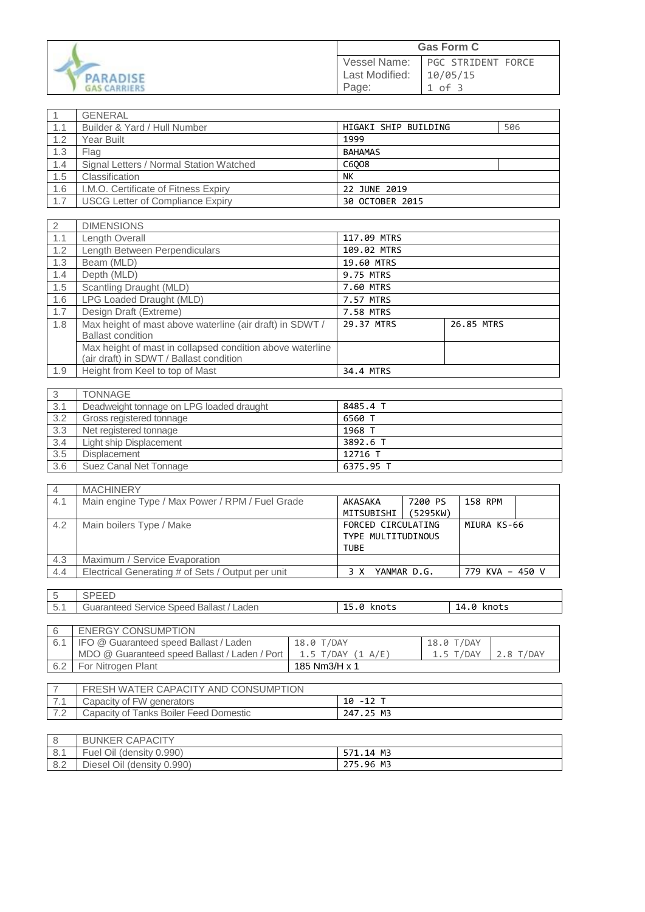| PARADISE            |
|---------------------|
| <b>GAS CARRIERS</b> |

|                                | <b>Gas Form C</b>                     |
|--------------------------------|---------------------------------------|
| Vessel Name:<br>Last Modified: | <b>PGC STRIDENT FORCE</b><br>10/05/15 |
| Page:                          | 1 of 3                                |

|     | <b>GENERAL</b>                          |                             |
|-----|-----------------------------------------|-----------------------------|
| 1.1 | Builder & Yard / Hull Number            | HIGAKI SHIP BUILDING<br>506 |
| 1.2 | Year Built                              | 1999                        |
| 1.3 | Flag                                    | <b>BAHAMAS</b>              |
| 1.4 | Signal Letters / Normal Station Watched | C6008                       |
| 1.5 | Classification                          | NΚ                          |
| 1.6 | I.M.O. Certificate of Fitness Expiry    | 22 JUNE 2019                |
| 1.7 | <b>USCG Letter of Compliance Expiry</b> | 30 OCTOBER 2015             |

| 2   | <b>DIMENSIONS</b>                                                                                    |             |            |
|-----|------------------------------------------------------------------------------------------------------|-------------|------------|
| 1.1 | Length Overall                                                                                       | 117.09 MTRS |            |
| 1.2 | Length Between Perpendiculars                                                                        | 109.02 MTRS |            |
| 1.3 | Beam (MLD)                                                                                           | 19.60 MTRS  |            |
| 1.4 | Depth (MLD)                                                                                          | 9.75 MTRS   |            |
| 1.5 | Scantling Draught (MLD)                                                                              | 7.60 MTRS   |            |
| 1.6 | LPG Loaded Draught (MLD)                                                                             | 7.57 MTRS   |            |
| 1.7 | Design Draft (Extreme)                                                                               | 7.58 MTRS   |            |
| 1.8 | Max height of mast above waterline (air draft) in SDWT /<br><b>Ballast condition</b>                 | 29.37 MTRS  | 26.85 MTRS |
|     | Max height of mast in collapsed condition above waterline<br>(air draft) in SDWT / Ballast condition |             |            |
| 1.9 | Height from Keel to top of Mast                                                                      | 34.4 MTRS   |            |

|     | <b>TONNAGE</b>                           |           |
|-----|------------------------------------------|-----------|
| 3.1 | Deadweight tonnage on LPG loaded draught | 8485.4 T  |
| 3.2 | Gross registered tonnage                 | 6560 T    |
| 3.3 | Net registered tonnage                   | 1968 T    |
| 3.4 | Light ship Displacement                  | 3892.6 T  |
| 3.5 | Displacement                             | 1 12716   |
| 3.6 | Suez Canal Net Tonnage                   | 6375.95 T |

| -4  | <b>MACHINERY</b>                                  |                    |             |                 |  |
|-----|---------------------------------------------------|--------------------|-------------|-----------------|--|
| 4.1 | Main engine Type / Max Power / RPM / Fuel Grade   | AKASAKA            | 7200 PS     | 158 RPM         |  |
|     |                                                   | MITSUBISHI         | (5295KW)    |                 |  |
| 4.2 | Main boilers Type / Make                          | FORCED CIRCULATING |             | MIURA KS-66     |  |
|     |                                                   | TYPE MULTITUDINOUS |             |                 |  |
|     |                                                   | <b>TUBE</b>        |             |                 |  |
| 4.3 | Maximum / Service Evaporation                     |                    |             |                 |  |
| 4.4 | Electrical Generating # of Sets / Output per unit |                    | YANMAR D.G. | 779 KVA - 450 V |  |

| $\overline{a}$<br>◡ | ◡<br>---                                              |             |                  |
|---------------------|-------------------------------------------------------|-------------|------------------|
| 51<br>J.1           | <b>Ballast</b><br>uaranteer<br>aden.<br>rvice<br>need | knots<br>-- | 14<br>knots<br>0 |
|                     |                                                       |             |                  |

| <b>ENERGY CONSUMPTION</b>                     |                     |             |           |
|-----------------------------------------------|---------------------|-------------|-----------|
| 6.1   IFO @ Guaranteed speed Ballast / Laden  | 18.0 T/DAY          | 18.0 T/DAY  |           |
| MDO @ Guaranteed speed Ballast / Laden / Port | $1.5$ T/DAY (1 A/E) | $1.5$ T/DAY | 2.8 T/DAY |
| For Nitrogen Plant                            | 185 Nm3/H x 1       |             |           |

| FRESH WATER CAPACITY AND CONSUMPTION   |           |
|----------------------------------------|-----------|
| Capacity of FW generators              | 10 -12 T  |
| Capacity of Tanks Boiler Feed Domestic | 247.25 M3 |

|     | <b>BUNKER CAPACITY</b>     |           |
|-----|----------------------------|-----------|
| 8.1 | Fuel Oil (density 0.990)   | 571.14 M3 |
| 8.2 | Diesel Oil (density 0.990) | 275.96 M3 |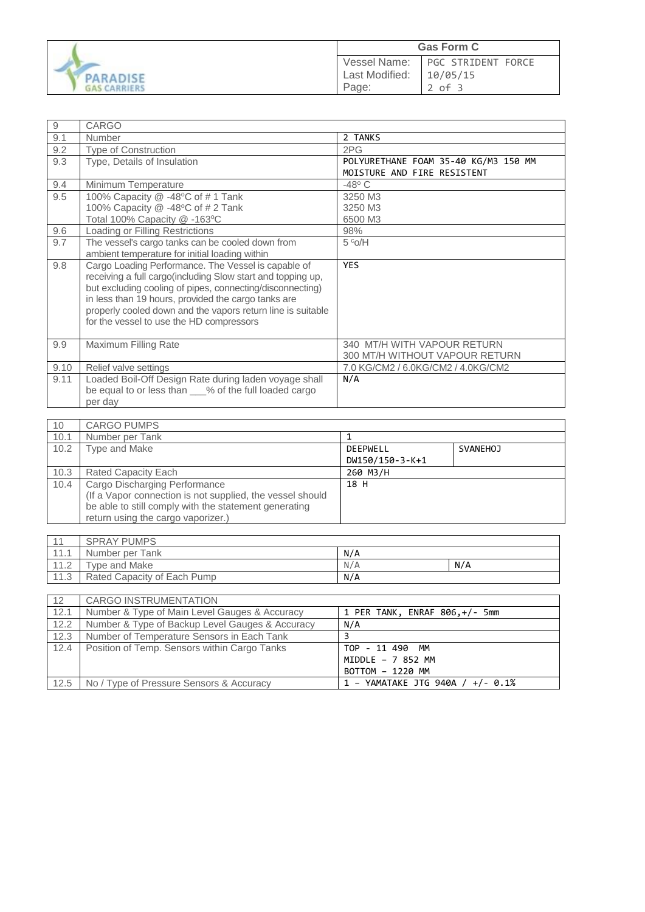

| $\hbox{9}$ | CARGO                                                       |                                      |
|------------|-------------------------------------------------------------|--------------------------------------|
| 9.1        | Number                                                      | 2 TANKS                              |
| 9.2        | <b>Type of Construction</b>                                 | 2PG                                  |
| 9.3        | Type, Details of Insulation                                 | POLYURETHANE FOAM 35-40 KG/M3 150 MM |
|            |                                                             | MOISTURE AND FIRE RESISTENT          |
| 9.4        | Minimum Temperature                                         | $-48^\circ$ C                        |
| 9.5        | 100% Capacity $@ -48°C$ of #1 Tank                          | 3250 M3                              |
|            | 100% Capacity @ -48°C of # 2 Tank                           | 3250 M3                              |
|            | Total 100% Capacity @ -163°C                                | 6500 M3                              |
| 9.6        | Loading or Filling Restrictions                             | 98%                                  |
| 9.7        | The vessel's cargo tanks can be cooled down from            | 5°O/H                                |
|            | ambient temperature for initial loading within              |                                      |
| 9.8        | Cargo Loading Performance. The Vessel is capable of         | <b>YES</b>                           |
|            | receiving a full cargo(including Slow start and topping up, |                                      |
|            | but excluding cooling of pipes, connecting/disconnecting)   |                                      |
|            | in less than 19 hours, provided the cargo tanks are         |                                      |
|            | properly cooled down and the vapors return line is suitable |                                      |
|            | for the vessel to use the HD compressors                    |                                      |
|            |                                                             |                                      |
| 9.9        | Maximum Filling Rate                                        | 340 MT/H WITH VAPOUR RETURN          |
|            |                                                             | 300 MT/H WITHOUT VAPOUR RETURN       |
| 9.10       | Relief valve settings                                       | 7.0 KG/CM2 / 6.0KG/CM2 / 4.0KG/CM2   |
| 9.11       | Loaded Boil-Off Design Rate during laden voyage shall       | N/A                                  |
|            | be equal to or less than ___% of the full loaded cargo      |                                      |
|            | per day                                                     |                                      |

| 10   | <b>CARGO PUMPS</b>                                        |                 |          |
|------|-----------------------------------------------------------|-----------------|----------|
| 10.1 | Number per Tank                                           |                 |          |
| 10.2 | Type and Make                                             | DEEPWELL        | SVANEHOJ |
|      |                                                           | DW150/150-3-K+1 |          |
| 10.3 | <b>Rated Capacity Each</b>                                | 260 M3/H        |          |
| 10.4 | Cargo Discharging Performance                             | 18 H            |          |
|      | (If a Vapor connection is not supplied, the vessel should |                 |          |
|      | be able to still comply with the statement generating     |                 |          |
|      | return using the cargo vaporizer.)                        |                 |          |

|                                | <b>SPRAY PUMPS</b>          |     |     |
|--------------------------------|-----------------------------|-----|-----|
| $-11 - 1$                      | Number per Tank             | N/A |     |
| 110<br>$\mathsf{L} \mathsf{L}$ | Type and Make               | N/A | N/A |
| 11.3                           | Rated Capacity of Each Pump | N/A |     |

| 12   | <b>CARGO INSTRUMENTATION</b>                    |                                     |
|------|-------------------------------------------------|-------------------------------------|
| 12.1 | Number & Type of Main Level Gauges & Accuracy   | 1 PER TANK, ENRAF 806,+/- 5mm       |
| 12.2 | Number & Type of Backup Level Gauges & Accuracy | N/A                                 |
| 12.3 | Number of Temperature Sensors in Each Tank      |                                     |
| 12.4 | Position of Temp. Sensors within Cargo Tanks    | TOP - 11 490 MM                     |
|      |                                                 | MIDDLE - 7 852 MM                   |
|      |                                                 | BOTTOM - 1220 MM                    |
| 12.5 | No / Type of Pressure Sensors & Accuracy        | 1 - YAMATAKE JTG 940A / +/- $0.1\%$ |